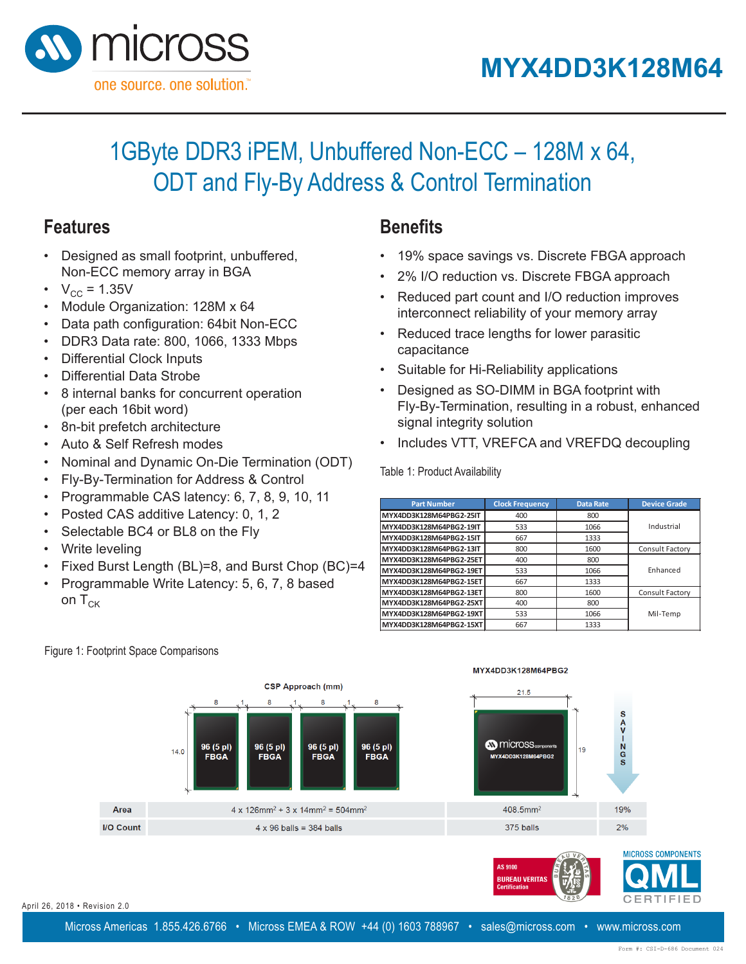**MYXDD3K128M64PBG2**

**MYXDD3K128M64PBG2**



## 1GByte DDR3 iPEM, Unbuffered Non-ECC - 128M x 64, ODT and Fly-By Address & Control Termination **1GByte DDR3 iPEM, Unbuffered Non-ECC – 128M x 64,**  דט ג וו $\pm$

## **Features**

- Designed as small footprint, unbuffered, **PESIGNED AS STRAIN TOOD TITLE, UTILE**<br>Non-ECC memory array in BGA
	- $V_{\rm CC} = 1.35V$
	- C<sub>c</sub> + .......<br>• Module Organization: 128M x 64 **Solution** Base of Base Control  $\overline{a}$  dule Organization: 128M x 64
	- Data path configuration: 64bit Non-ECC  $\overline{\phantom{a}}$ nath configura
	- $\cdot$  DDR3 Data rate: 800, 1066, 1333 Mbps سوم ماہی ہے۔<br>معمول 2002
	- Differential Clock Inputs<br>
	24bit Data path configuration: 64bit Non-ECC  $\frac{12111}{1280}$  Data Tale: 000, 1000, 100
	- Differential Data Strobe
	- 8 internal banks for concurrent operation (per each 16bit word)
	- 8n-bit prefetch architecture
	- Auto & Self Refresh modes
	- Nominal and Dynamic On-Die Termination (ODT)
	- Fly-By-Termination for Address & Control
	- $\cdot$  Programmable CAS latency: 6, 7, 8, 9, 10, 11
	- Posted CAS additive Latency: 0, 1, 2
	- Posted OAO additive Eatency: 6, 1, 2, 9, 1, 9, 10, 10, 11, 10, 11, 10, 11, 10, 11, 10, 11, 10, 11, 10, 11, 1  $\epsilon$  electable DC4 or DL6 on the Fig.
	- Write leveling
	- Fixed Burst Length (BL)=8, and Burst Chop (BC)=4 vrite leveling ixed Burst Leng
	- Programmable Write Latency: 5, 6, 7, 8 based on  ${\sf T}_{\sf CK}$  . From the  ${\sf T}_{\sf CK}$ • Programmable Write Latency: 5, 6, 7, 8 based  $\mathsf{P}$  Programmable Write Latence  $\mathsf{P}$

#### **Benefits Control Telephone Benefits 1GByte DDR3 iPEM, Unbuffered Non-ECC – 128M x 64,**

- 19% space savings vs. Discrete FBGA approach **Benefits ODT and Fly-By Address & Control Termination**
	- **•** 2% I/O reduction vs. Discrete FBGA approach
	- Reduced part count and I/O reduction improves interconnect reliability of your memory array
	- Reduced trace lengths for lower parasitic interconnect reliability of your memory array array array array array array array array array array array array
	- Suitable for Hi-Reliability applications  $\frac{1}{2}$ table for Hi-Reliability applications
	- $\bullet$  Designed as SO-DIMM in BGA footprint with Fly-By-Termination, resulting in a robust, enhanced signal integrity solution  $\overline{a}$  $\frac{1}{2}$   $\frac{1}{2}$   $\frac{1}{2}$   $\frac{1}{2}$   $\frac{1}{2}$   $\frac{1}{2}$   $\frac{1}{2}$   $\frac{1}{2}$   $\frac{1}{2}$   $\frac{1}{2}$   $\frac{1}{2}$   $\frac{1}{2}$   $\frac{1}{2}$   $\frac{1}{2}$   $\frac{1}{2}$   $\frac{1}{2}$   $\frac{1}{2}$   $\frac{1}{2}$   $\frac{1}{2}$   $\frac{1}{2}$   $\frac{1}{2}$   $\frac{1}{2}$
	- Includes VTT, VREFCA and VREFDQ decoupling

Table 1: Product Availability

| <b>Part Number</b>      | <b>Clock Frequency</b> | <b>Data Rate</b> | <b>Device Grade</b> |
|-------------------------|------------------------|------------------|---------------------|
| MYX4DD3K128M64PBG2-25IT | 400                    | 800              |                     |
| MYX4DD3K128M64PBG2-19IT | 533                    | 1066             | Industrial          |
| MYX4DD3K128M64PBG2-15IT | 667                    | 1333             |                     |
| MYX4DD3K128M64PBG2-13IT | 800                    | 1600             | Consult Factory     |
| MYX4DD3K128M64PBG2-25ET | 400                    | 800              |                     |
| MYX4DD3K128M64PBG2-19ET | 533                    | 1066             | Enhanced            |
| MYX4DD3K128M64PBG2-15ET | 667                    | 1333             |                     |
| MYX4DD3K128M64PBG2-13ET | 800                    | 1600             | Consult Factory     |
| MYX4DD3K128M64PBG2-25XT | 400                    | 800              |                     |
| MYX4DD3K128M64PBG2-19XT | 533                    | 1066             | Mil-Temp            |
| MYX4DD3K128M64PBG2-15XT | 667                    | 1333             |                     |



**Footprint Space Comparisons Footprint Space Comparisons** Figure 1: Footprint Space Comparisons

MyX4DD3K128M64\_Rev028M64\_Rev028M64